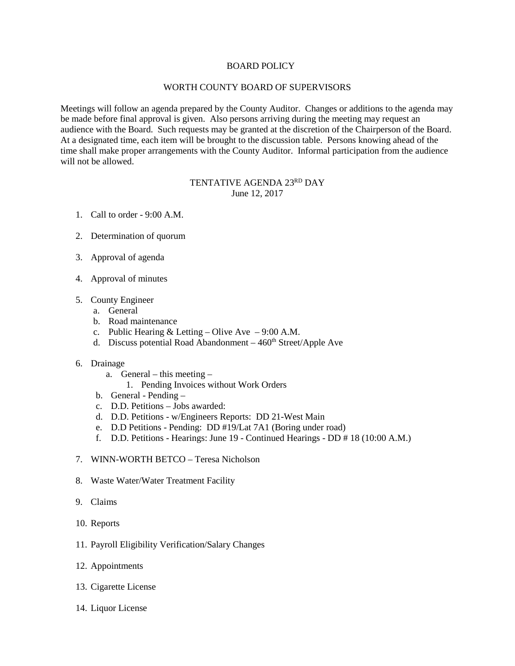## BOARD POLICY

## WORTH COUNTY BOARD OF SUPERVISORS

Meetings will follow an agenda prepared by the County Auditor. Changes or additions to the agenda may be made before final approval is given. Also persons arriving during the meeting may request an audience with the Board. Such requests may be granted at the discretion of the Chairperson of the Board. At a designated time, each item will be brought to the discussion table. Persons knowing ahead of the time shall make proper arrangements with the County Auditor. Informal participation from the audience will not be allowed.

## TENTATIVE AGENDA 23RD DAY June 12, 2017

- 1. Call to order 9:00 A.M.
- 2. Determination of quorum
- 3. Approval of agenda
- 4. Approval of minutes
- 5. County Engineer
	- a. General
	- b. Road maintenance
	- c. Public Hearing & Letting Olive Ave 9:00 A.M.
	- d. Discuss potential Road Abandonment  $-460<sup>th</sup> Street/Apple$  Ave
- 6. Drainage
	- a. General this meeting
		- 1. Pending Invoices without Work Orders
	- b. General Pending –
	- c. D.D. Petitions Jobs awarded:
	- d. D.D. Petitions w/Engineers Reports: DD 21-West Main
	- e. D.D Petitions Pending: DD #19/Lat 7A1 (Boring under road)
	- f. D.D. Petitions Hearings: June 19 Continued Hearings DD # 18 (10:00 A.M.)
- 7. WINN-WORTH BETCO Teresa Nicholson
- 8. Waste Water/Water Treatment Facility
- 9. Claims
- 10. Reports
- 11. Payroll Eligibility Verification/Salary Changes
- 12. Appointments
- 13. Cigarette License
- 14. Liquor License